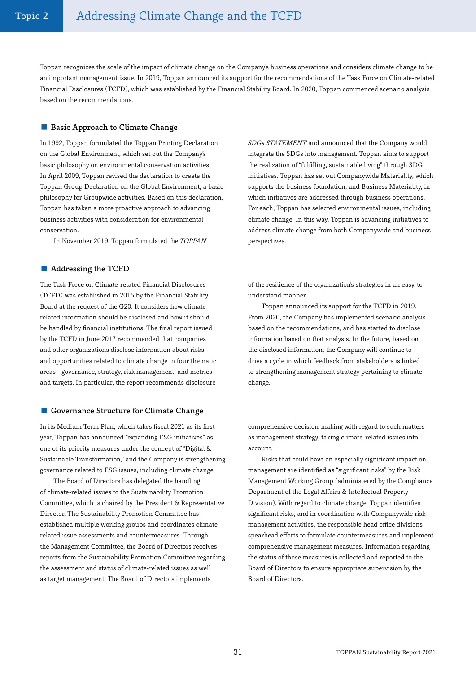Toppan recognizes the scale of the impact of climate change on the Company's business operations and considers climate change to be an important management issue. In 2019, Toppan announced its support for the recommendations of the Task Force on Climate-related Financial Disclosures (TCFD), which was established by the Financial Stability Board. In 2020, Toppan commenced scenario analysis based on the recommendations.

# ■ Basic Approach to Climate Change

In 1992, Toppan formulated the Toppan Printing Declaration on the Global Environment, which set out the Company's basic philosophy on environmental conservation activities. In April 2009, Toppan revised the declaration to create the Toppan Group Declaration on the Global Environment, a basic philosophy for Groupwide activities. Based on this declaration, Toppan has taken a more proactive approach to advancing business activities with consideration for environmental conservation.

In November 2019, Toppan formulated the TOPPAN

## ■ Addressing the TCFD

The Task Force on Climate-related Financial Disclosures (TCFD) was established in 2015 by the Financial Stability Board at the request of the G20. It considers how climaterelated information should be disclosed and how it should be handled by financial institutions. The final report issued by the TCFD in June 2017 recommended that companies and other organizations disclose information about risks and opportunities related to climate change in four thematic areas—governance, strategy, risk management, and metrics and targets. In particular, the report recommends disclosure

## ■ Governance Structure for Climate Change

In its Medium Term Plan, which takes fiscal 2021 as its first year, Toppan has announced "expanding ESG initiatives" as one of its priority measures under the concept of "Digital & Sustainable Transformation," and the Company is strengthening governance related to ESG issues, including climate change.

The Board of Directors has delegated the handling of climate-related issues to the Sustainability Promotion Committee, which is chaired by the President & Representative Director. The Sustainability Promotion Committee has established multiple working groups and coordinates climaterelated issue assessments and countermeasures. Through the Management Committee, the Board of Directors receives reports from the Sustainability Promotion Committee regarding the assessment and status of climate-related issues as well as target management. The Board of Directors implements

SDGs STATEMENT and announced that the Company would integrate the SDGs into management. Toppan aims to support the realization of "fulfilling, sustainable living" through SDG initiatives. Toppan has set out Companywide Materiality, which supports the business foundation, and Business Materiality, in which initiatives are addressed through business operations. For each, Toppan has selected environmental issues, including climate change. In this way, Toppan is advancing initiatives to address climate change from both Companywide and business perspectives.

of the resilience of the organization's strategies in an easy-tounderstand manner.

Toppan announced its support for the TCFD in 2019. From 2020, the Company has implemented scenario analysis based on the recommendations, and has started to disclose information based on that analysis. In the future, based on the disclosed information, the Company will continue to drive a cycle in which feedback from stakeholders is linked to strengthening management strategy pertaining to climate change.

comprehensive decision-making with regard to such matters as management strategy, taking climate-related issues into account.

Risks that could have an especially significant impact on management are identified as "significant risks" by the Risk Management Working Group (administered by the Compliance Department of the Legal Affairs & Intellectual Property Division). With regard to climate change, Toppan identifies significant risks, and in coordination with Companywide risk management activities, the responsible head office divisions spearhead efforts to formulate countermeasures and implement comprehensive management measures. Information regarding the status of those measures is collected and reported to the Board of Directors to ensure appropriate supervision by the Board of Directors.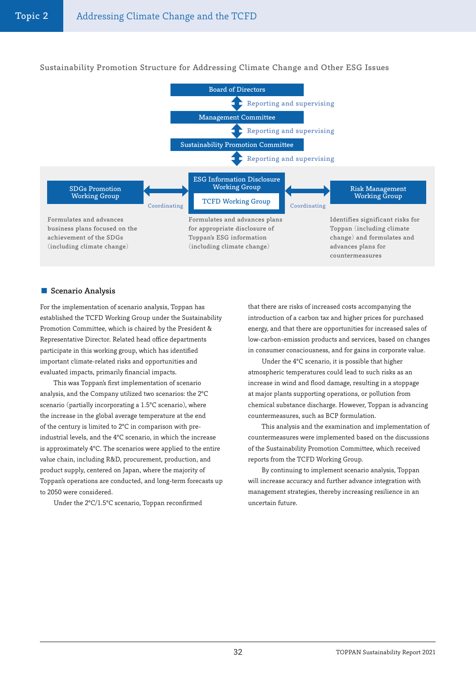

# Sustainability Promotion Structure for Addressing Climate Change and Other ESG Issues

## ■ Scenario Analysis

For the implementation of scenario analysis, Toppan has established the TCFD Working Group under the Sustainability Promotion Committee, which is chaired by the President & Representative Director. Related head office departments participate in this working group, which has identified important climate-related risks and opportunities and evaluated impacts, primarily financial impacts.

This was Toppan's first implementation of scenario analysis, and the Company utilized two scenarios: the 2ºC scenario (partially incorporating a 1.5ºC scenario), where the increase in the global average temperature at the end of the century is limited to 2ºC in comparison with preindustrial levels, and the 4ºC scenario, in which the increase is approximately 4ºC. The scenarios were applied to the entire value chain, including R&D, procurement, production, and product supply, centered on Japan, where the majority of Toppan's operations are conducted, and long-term forecasts up to 2050 were considered.

Under the 2ºC/1.5ºC scenario, Toppan reconfirmed

that there are risks of increased costs accompanying the introduction of a carbon tax and higher prices for purchased energy, and that there are opportunities for increased sales of low-carbon-emission products and services, based on changes in consumer consciousness, and for gains in corporate value.

Under the 4ºC scenario, it is possible that higher atmospheric temperatures could lead to such risks as an increase in wind and flood damage, resulting in a stoppage at major plants supporting operations, or pollution from chemical substance discharge. However, Toppan is advancing countermeasures, such as BCP formulation.

This analysis and the examination and implementation of countermeasures were implemented based on the discussions of the Sustainability Promotion Committee, which received reports from the TCFD Working Group.

By continuing to implement scenario analysis, Toppan will increase accuracy and further advance integration with management strategies, thereby increasing resilience in an uncertain future.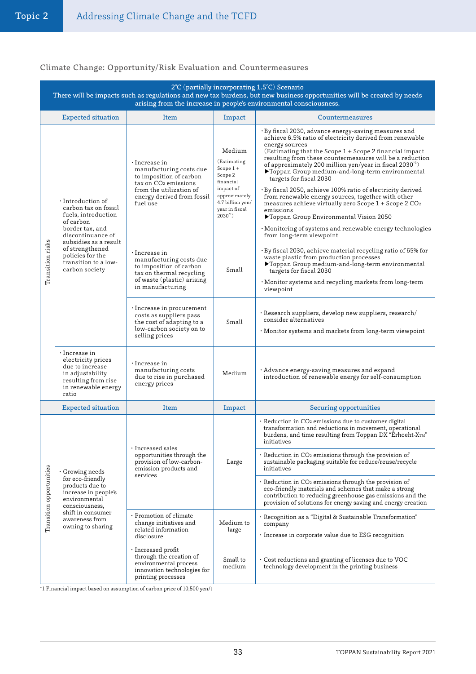# Climate Change: Opportunity/Risk Evaluation and Countermeasures

| 2°C (partially incorporating 1.5°C) Scenario<br>There will be impacts such as regulations and new tax burdens, but new business opportunities will be created by needs<br>arising from the increase in people's environmental consciousness. |                                                                                                                                                                                                                                       |                                                                                                                                                                                    |                                                                                                                                                  |                                                                                                                                                                                                                                                                                                                                                                                                                                                                                                                                                                                                                                                                                                                                                               |  |  |  |  |
|----------------------------------------------------------------------------------------------------------------------------------------------------------------------------------------------------------------------------------------------|---------------------------------------------------------------------------------------------------------------------------------------------------------------------------------------------------------------------------------------|------------------------------------------------------------------------------------------------------------------------------------------------------------------------------------|--------------------------------------------------------------------------------------------------------------------------------------------------|---------------------------------------------------------------------------------------------------------------------------------------------------------------------------------------------------------------------------------------------------------------------------------------------------------------------------------------------------------------------------------------------------------------------------------------------------------------------------------------------------------------------------------------------------------------------------------------------------------------------------------------------------------------------------------------------------------------------------------------------------------------|--|--|--|--|
|                                                                                                                                                                                                                                              | <b>Expected situation</b>                                                                                                                                                                                                             | Item                                                                                                                                                                               | Impact                                                                                                                                           | Countermeasures                                                                                                                                                                                                                                                                                                                                                                                                                                                                                                                                                                                                                                                                                                                                               |  |  |  |  |
| Transition risks                                                                                                                                                                                                                             | $\cdot$ Introduction of<br>carbon tax on fossil<br>fuels, introduction<br>of carbon<br>border tax, and<br>discontinuance of<br>subsidies as a result<br>of strengthened<br>policies for the<br>transition to a low-<br>carbon society | $\cdot$ Increase in<br>manufacturing costs due<br>to imposition of carbon<br>tax on CO <sub>2</sub> emissions<br>from the utilization of<br>energy derived from fossil<br>fuel use | Medium<br>(Estimating<br>Scope $1 +$<br>Scope 2<br>financial<br>impact of<br>approximately<br>4.7 billion yen/<br>year in fiscal<br>$2030^{1}$ ) | • By fiscal 2030, advance energy-saving measures and<br>achieve 6.5% ratio of electricity derived from renewable<br>energy sources<br>(Estimating that the Scope 1 + Scope 2 financial impact)<br>resulting from these countermeasures will be a reduction<br>of approximately 200 million yen/year in fiscal 2030 $\degree$<br>▶Toppan Group medium-and-long-term environmental<br>targets for fiscal 2030<br>•By fiscal 2050, achieve 100% ratio of electricity derived<br>from renewable energy sources, together with other<br>measures achieve virtually zero Scope $1 +$ Scope 2 CO <sub>2</sub><br>emissions<br>▶Toppan Group Environmental Vision 2050<br>$\cdot$ Monitoring of systems and renewable energy technologies<br>from long-term viewpoint |  |  |  |  |
|                                                                                                                                                                                                                                              |                                                                                                                                                                                                                                       | $\cdot$ Increase in<br>manufacturing costs due<br>to imposition of carbon<br>tax on thermal recycling<br>of waste (plastic) arising<br>in manufacturing                            | Small                                                                                                                                            | · By fiscal 2030, achieve material recycling ratio of 65% for<br>waste plastic from production processes<br>▶Toppan Group medium-and-long-term environmental<br>targets for fiscal 2030<br>· Monitor systems and recycling markets from long-term<br>viewpoint                                                                                                                                                                                                                                                                                                                                                                                                                                                                                                |  |  |  |  |
|                                                                                                                                                                                                                                              |                                                                                                                                                                                                                                       | • Increase in procurement<br>costs as suppliers pass<br>the cost of adapting to a<br>low-carbon society on to<br>selling prices                                                    | Small                                                                                                                                            | · Research suppliers, develop new suppliers, research/<br>consider alternatives<br>$\cdot$ Monitor systems and markets from long-term viewpoint                                                                                                                                                                                                                                                                                                                                                                                                                                                                                                                                                                                                               |  |  |  |  |
|                                                                                                                                                                                                                                              | $\cdot$ Increase in<br>electricity prices<br>due to increase<br>in adjustability<br>resulting from rise<br>in renewable energy<br>ratio                                                                                               | • Increase in<br>manufacturing costs<br>due to rise in purchased<br>energy prices                                                                                                  | Medium                                                                                                                                           | $\cdot$ Advance energy-saving measures and expand<br>introduction of renewable energy for self-consumption                                                                                                                                                                                                                                                                                                                                                                                                                                                                                                                                                                                                                                                    |  |  |  |  |
|                                                                                                                                                                                                                                              | <b>Expected situation</b>                                                                                                                                                                                                             | <b>Item</b>                                                                                                                                                                        | Impact                                                                                                                                           | <b>Securing opportunities</b>                                                                                                                                                                                                                                                                                                                                                                                                                                                                                                                                                                                                                                                                                                                                 |  |  |  |  |
| Transition opportunities                                                                                                                                                                                                                     | Growing needs<br>for eco-friendly<br>products due to<br>increase in people's<br>environmental<br>consciousness,<br>shift in consumer<br>awareness from<br>owning to sharing                                                           | $\cdot$ Increased sales<br>opportunities through the<br>provision of low-carbon-<br>emission products and<br>services                                                              | Large                                                                                                                                            | • Reduction in CO2 emissions due to customer digital<br>transformation and reductions in movement, operational<br>burdens, and time resulting from Toppan DX "Erhoeht-XTM"<br>initiatives                                                                                                                                                                                                                                                                                                                                                                                                                                                                                                                                                                     |  |  |  |  |
|                                                                                                                                                                                                                                              |                                                                                                                                                                                                                                       |                                                                                                                                                                                    |                                                                                                                                                  | $\cdot$ Reduction in CO <sub>2</sub> emissions through the provision of<br>sustainable packaging suitable for reduce/reuse/recycle<br>initiatives                                                                                                                                                                                                                                                                                                                                                                                                                                                                                                                                                                                                             |  |  |  |  |
|                                                                                                                                                                                                                                              |                                                                                                                                                                                                                                       |                                                                                                                                                                                    |                                                                                                                                                  | $\cdot$ Reduction in CO2 emissions through the provision of<br>eco-friendly materials and schemes that make a strong<br>contribution to reducing greenhouse gas emissions and the<br>provision of solutions for energy saving and energy creation                                                                                                                                                                                                                                                                                                                                                                                                                                                                                                             |  |  |  |  |
|                                                                                                                                                                                                                                              |                                                                                                                                                                                                                                       | · Promotion of climate<br>change initiatives and<br>related information<br>disclosure                                                                                              | Medium to<br>large                                                                                                                               | · Recognition as a "Digital & Sustainable Transformation"<br>company<br>· Increase in corporate value due to ESG recognition                                                                                                                                                                                                                                                                                                                                                                                                                                                                                                                                                                                                                                  |  |  |  |  |
|                                                                                                                                                                                                                                              |                                                                                                                                                                                                                                       | $\cdot$ Increased profit<br>through the creation of<br>environmental process<br>innovation technologies for<br>printing processes                                                  | Small to<br>medium                                                                                                                               | Cost reductions and granting of licenses due to VOC<br>technology development in the printing business                                                                                                                                                                                                                                                                                                                                                                                                                                                                                                                                                                                                                                                        |  |  |  |  |

\*1 Financial impact based on assumption of carbon price of 10,500 yen/t